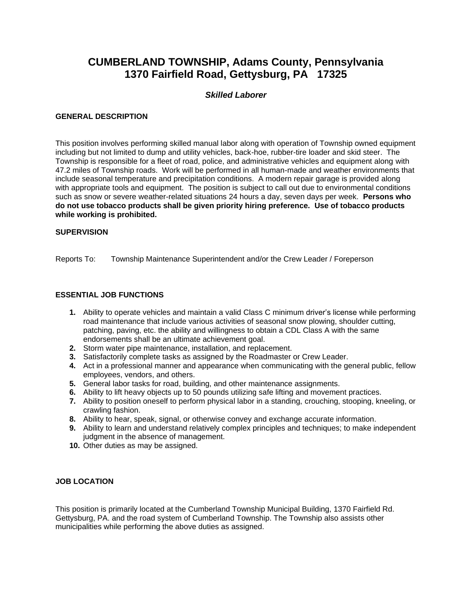# **CUMBERLAND TOWNSHIP, Adams County, Pennsylvania 1370 Fairfield Road, Gettysburg, PA 17325**

# *Skilled Laborer*

## **GENERAL DESCRIPTION**

This position involves performing skilled manual labor along with operation of Township owned equipment including but not limited to dump and utility vehicles, back-hoe, rubber-tire loader and skid steer. The Township is responsible for a fleet of road, police, and administrative vehicles and equipment along with 47.2 miles of Township roads. Work will be performed in all human-made and weather environments that include seasonal temperature and precipitation conditions. A modern repair garage is provided along with appropriate tools and equipment. The position is subject to call out due to environmental conditions such as snow or severe weather-related situations 24 hours a day, seven days per week. **Persons who do not use tobacco products shall be given priority hiring preference. Use of tobacco products while working is prohibited.**

#### **SUPERVISION**

Reports To: Township Maintenance Superintendent and/or the Crew Leader / Foreperson

## **ESSENTIAL JOB FUNCTIONS**

- **1.** Ability to operate vehicles and maintain a valid Class C minimum driver's license while performing road maintenance that include various activities of seasonal snow plowing, shoulder cutting, patching, paving, etc. the ability and willingness to obtain a CDL Class A with the same endorsements shall be an ultimate achievement goal.
- **2.** Storm water pipe maintenance, installation, and replacement.
- **3.** Satisfactorily complete tasks as assigned by the Roadmaster or Crew Leader.
- **4.** Act in a professional manner and appearance when communicating with the general public, fellow employees, vendors, and others.
- **5.** General labor tasks for road, building, and other maintenance assignments.
- **6.** Ability to lift heavy objects up to 50 pounds utilizing safe lifting and movement practices.
- **7.** Ability to position oneself to perform physical labor in a standing, crouching, stooping, kneeling, or crawling fashion.
- **8.** Ability to hear, speak, signal, or otherwise convey and exchange accurate information.
- **9.** Ability to learn and understand relatively complex principles and techniques; to make independent judgment in the absence of management.
- **10.** Other duties as may be assigned.

#### **JOB LOCATION**

This position is primarily located at the Cumberland Township Municipal Building, 1370 Fairfield Rd. Gettysburg, PA. and the road system of Cumberland Township. The Township also assists other municipalities while performing the above duties as assigned.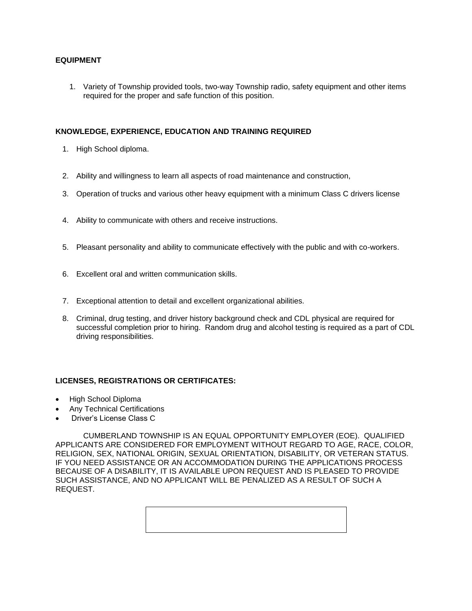## **EQUIPMENT**

1. Variety of Township provided tools, two-way Township radio, safety equipment and other items required for the proper and safe function of this position.

## **KNOWLEDGE, EXPERIENCE, EDUCATION AND TRAINING REQUIRED**

- 1. High School diploma.
- 2. Ability and willingness to learn all aspects of road maintenance and construction,
- 3. Operation of trucks and various other heavy equipment with a minimum Class C drivers license
- 4. Ability to communicate with others and receive instructions.
- 5. Pleasant personality and ability to communicate effectively with the public and with co-workers.
- 6. Excellent oral and written communication skills.
- 7. Exceptional attention to detail and excellent organizational abilities.
- 8. Criminal, drug testing, and driver history background check and CDL physical are required for successful completion prior to hiring. Random drug and alcohol testing is required as a part of CDL driving responsibilities.

## **LICENSES, REGISTRATIONS OR CERTIFICATES:**

- High School Diploma
- Any Technical Certifications
- Driver's License Class C

CUMBERLAND TOWNSHIP IS AN EQUAL OPPORTUNITY EMPLOYER (EOE). QUALIFIED APPLICANTS ARE CONSIDERED FOR EMPLOYMENT WITHOUT REGARD TO AGE, RACE, COLOR, RELIGION, SEX, NATIONAL ORIGIN, SEXUAL ORIENTATION, DISABILITY, OR VETERAN STATUS. IF YOU NEED ASSISTANCE OR AN ACCOMMODATION DURING THE APPLICATIONS PROCESS BECAUSE OF A DISABILITY, IT IS AVAILABLE UPON REQUEST AND IS PLEASED TO PROVIDE SUCH ASSISTANCE, AND NO APPLICANT WILL BE PENALIZED AS A RESULT OF SUCH A REQUEST.